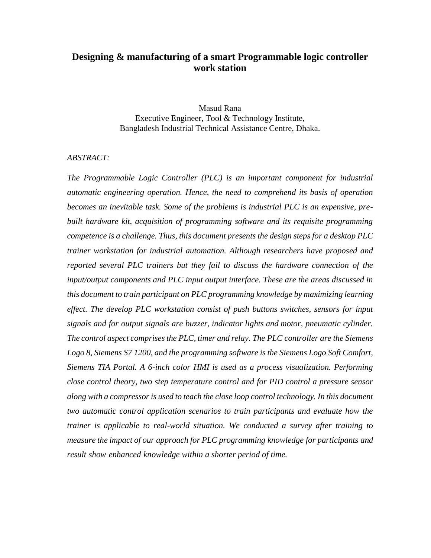# **Designing & manufacturing of a smart Programmable logic controller work station**

Masud Rana Executive Engineer, Tool & Technology Institute, Bangladesh Industrial Technical Assistance Centre, Dhaka.

#### *ABSTRACT:*

*The Programmable Logic Controller (PLC) is an important component for industrial automatic engineering operation. Hence, the need to comprehend its basis of operation becomes an inevitable task. Some of the problems is industrial PLC is an expensive, prebuilt hardware kit, acquisition of programming software and its requisite programming competence is a challenge. Thus, this document presents the design steps for a desktop PLC trainer workstation for industrial automation. Although researchers have proposed and reported several PLC trainers but they fail to discuss the hardware connection of the input/output components and PLC input output interface. These are the areas discussed in this document to train participant on PLC programming knowledge by maximizing learning effect. The develop PLC workstation consist of push buttons switches, sensors for input signals and for output signals are buzzer, indicator lights and motor, pneumatic cylinder. The control aspect comprises the PLC, timer and relay. The PLC controller are the Siemens Logo 8, Siemens S7 1200, and the programming software is the Siemens Logo Soft Comfort, Siemens TIA Portal. A 6-inch color HMI is used as a process visualization. Performing close control theory, two step temperature control and for PID control a pressure sensor along with a compressor is used to teach the close loop control technology. In this document two automatic control application scenarios to train participants and evaluate how the trainer is applicable to real-world situation. We conducted a survey after training to measure the impact of our approach for PLC programming knowledge for participants and result show enhanced knowledge within a shorter period of time.*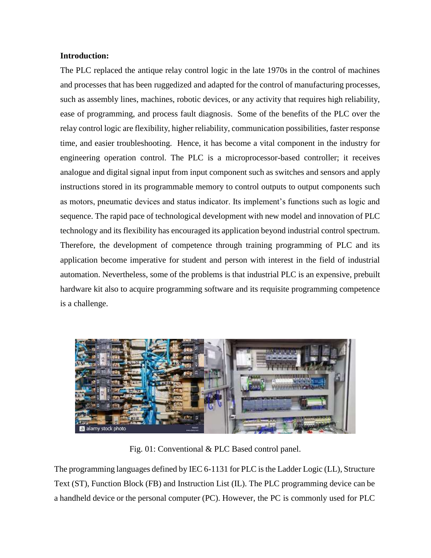### **Introduction:**

The PLC replaced the antique relay control logic in the late 1970s in the control of machines and processes that has been [ruggedized](https://wiki2.org/en/Rugged_computer) and adapted for the control of manufacturing processes, such as [assembly](https://wiki2.org/en/Assembly_line) lines, machines, [robotic](https://wiki2.org/en/Robotic) devices, or any activity that requires high reliability, ease of programming, and process fault diagnosis. Some of the benefits of the PLC over the relay control logic are flexibility, higher reliability, communication possibilities, faster response time, and easier troubleshooting. Hence, it has become a vital component in the industry for engineering operation control. The PLC is a microprocessor-based controller; it receives analogue and digital signal input from input component such as switches and sensors and apply instructions stored in its programmable memory to control outputs to output components such as motors, pneumatic devices and status indicator. Its implement's functions such as logic and sequence. The rapid pace of technological development with new model and innovation of PLC technology and its flexibility has encouraged its application beyond industrial control spectrum. Therefore, the development of competence through training programming of PLC and its application become imperative for student and person with interest in the field of industrial automation. Nevertheless, some of the problems is that industrial PLC is an expensive, prebuilt hardware kit also to acquire programming software and its requisite programming competence is a challenge.



Fig. 01: Conventional & PLC Based control panel.

The programming languages defined by IEC 6-1131 for PLC is the Ladder Logic (LL), Structure Text (ST), Function Block (FB) and Instruction List (IL). The PLC programming device can be a handheld device or the personal computer (PC). However, the PC is commonly used for PLC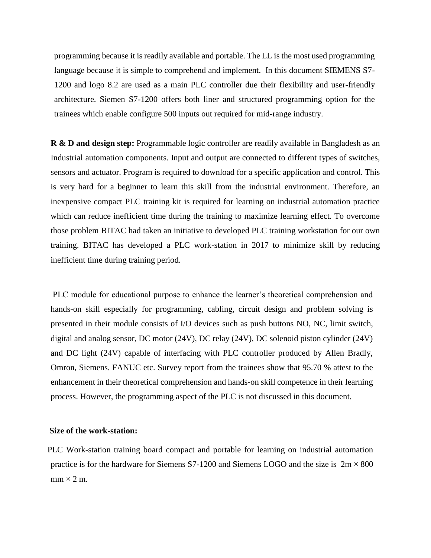programming because it is readily available and portable. The LL is the most used programming language because it is simple to comprehend and implement. In this document SIEMENS S7- 1200 and logo 8.2 are used as a main PLC controller due their flexibility and user-friendly architecture. Siemen S7-1200 offers both liner and structured programming option for the trainees which enable configure 500 inputs out required for mid-range industry.

**R & D and design step:** Programmable logic controller are readily available in Bangladesh as an Industrial automation components. Input and output are connected to different types of switches, sensors and actuator. Program is required to download for a specific application and control. This is very hard for a beginner to learn this skill from the industrial environment. Therefore, an inexpensive compact PLC training kit is required for learning on industrial automation practice which can reduce inefficient time during the training to maximize learning effect. To overcome those problem BITAC had taken an initiative to developed PLC training workstation for our own training. BITAC has developed a PLC work-station in 2017 to minimize skill by reducing inefficient time during training period.

PLC module for educational purpose to enhance the learner's theoretical comprehension and hands-on skill especially for programming, cabling, circuit design and problem solving is presented in their module consists of I/O devices such as push buttons NO, NC, limit switch, digital and analog sensor, DC motor (24V), DC relay (24V), DC solenoid piston cylinder (24V) and DC light (24V) capable of interfacing with PLC controller produced by Allen Bradly, Omron, Siemens. FANUC etc. Survey report from the trainees show that 95.70 % attest to the enhancement in their theoretical comprehension and hands-on skill competence in their learning process. However, the programming aspect of the PLC is not discussed in this document.

### **Size of the work-station:**

PLC Work-station training board compact and portable for learning on industrial automation practice is for the hardware for Siemens S7-1200 and Siemens LOGO and the size is  $2m \times 800$  $mm \times 2 m$ .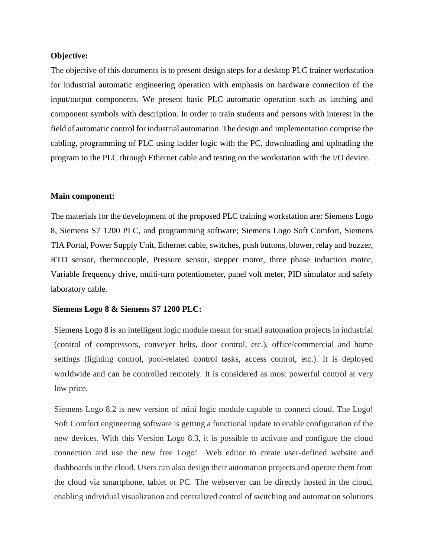### **Objective:**

The objective of this documents is to present design steps for a desktop PLC trainer workstation for industrial automatic engineering operation with emphasis on hardware connection of the input/output components. We present basic PLC automatic operation such as latching and component symbols with description. In order to train students and persons with interest in the field of automatic control for industrial automation. The design and implementation comprise the cabling, programming of PLC using ladder logic with the PC, downloading and uploading the program to the PLC through Ethernet cable and testing on the workstation with the I/O device.

## **Main component:**

The materials for the development of the proposed PLC training workstation are: Siemens Logo 8, Siemens S7 1200 PLC, and programming software; Siemens Logo Soft Comfort, Siemens TIA Portal, Power Supply Unit, Ethernet cable, switches, push buttons, blower, relay and buzzer, RTD sensor, thermocouple, Pressure sensor, stepper motor, three phase induction motor, Variable frequency drive, multi-turn potentiometer, panel volt meter, PID simulator and safety laboratory cable.

#### **Siemens Logo 8 & Siemens S7 1200 PLC:**

Siemens Logo 8 is an intelligent logic module meant for small automation projects in industrial (control of compressors, conveyer belts, door control, etc.), office/commercial and home settings (lighting control, pool-related control tasks, access control, etc.). It is deployed worldwide and can be controlled remotely. It is considered as most powerful control at very low price.

Siemens Logo 8.2 is new version of mini logic module capable to connect cloud. The Logo! Soft Comfort engineering software is getting a functional update to enable configuration of the new devices. With this Version Logo 8.3, it is possible to activate and configure the cloud connection and use the new free Logo! Web editor to create user-defined website and dashboards in the cloud. Users can also design their automation projects and operate them from the cloud via smartphone, tablet or PC. The webserver can be directly hosted in the cloud, enabling individual visualization and centralized control of switching and automation solutions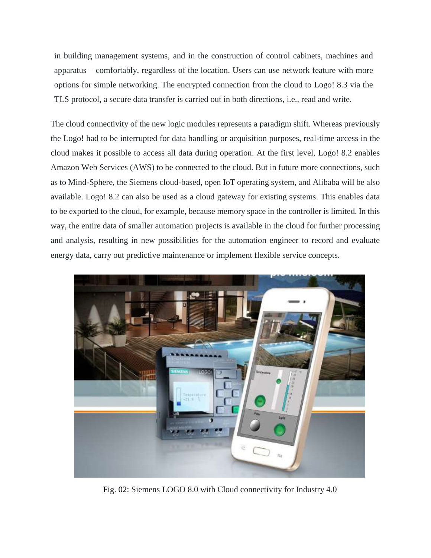in building management systems, and in the construction of control cabinets, machines and apparatus – comfortably, regardless of the location. Users can use network feature with more options for simple networking. The encrypted connection from the cloud to Logo! 8.3 via the TLS protocol, a secure data transfer is carried out in both directions, i.e., read and write.

The cloud connectivity of the new logic modules represents a paradigm shift. Whereas previously the Logo! had to be interrupted for data handling or acquisition purposes, real-time access in the cloud makes it possible to access all data during operation. At the first level, Logo! 8.2 enables Amazon Web Services (AWS) to be connected to the cloud. But in future more connections, such as to Mind-Sphere, the Siemens cloud-based, open IoT operating system, and Alibaba will be also available. Logo! 8.2 can also be used as a cloud gateway for existing systems. This enables data to be exported to the cloud, for example, because memory space in the controller is limited. In this way, the entire data of smaller automation projects is available in the cloud for further processing and analysis, resulting in new possibilities for the automation engineer to record and evaluate energy data, carry out predictive maintenance or implement flexible service concepts.



Fig. 02: Siemens LOGO 8.0 with Cloud connectivity for Industry 4.0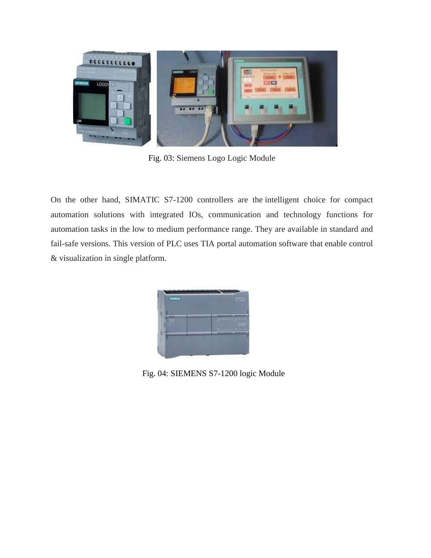

Fig. 03: Siemens Logo Logic Module

On the other hand, SIMATIC S7-1200 controllers are the intelligent choice for compact automation solutions with integrated IOs, communication and technology functions for automation tasks in the low to medium performance range. They are available in standard and fail-safe versions. This version of PLC uses TIA portal automation software that enable control & visualization in single platform.



Fig. 04: SIEMENS S7-1200 logic Module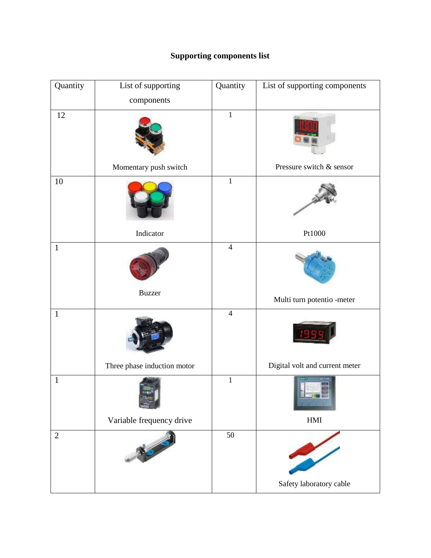# **Supporting components list**

| Quantity     | List of supporting          | Quantity       | List of supporting components  |
|--------------|-----------------------------|----------------|--------------------------------|
|              | components                  |                |                                |
| 12           | Momentary push switch       | $\mathbf 1$    | Pressure switch & sensor       |
| $10\,$       | Indicator                   | $\mathbf 1$    | Pt1000                         |
| $\mathbf{1}$ | <b>Buzzer</b>               | $\overline{4}$ | Multi turn potentio -meter     |
| $\mathbf{1}$ | Three phase induction motor | $\overline{4}$ | Digital volt and current meter |
| $\mathbf{1}$ | Variable frequency drive    | $\mathbf 1$    | $\operatorname{HMI}$           |
| $\sqrt{2}$   |                             | 50             | Safety laboratory cable        |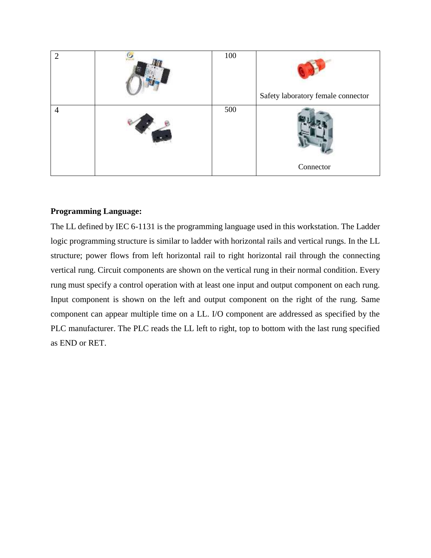

## **Programming Language:**

The LL defined by IEC 6-1131 is the programming language used in this workstation. The Ladder logic programming structure is similar to ladder with horizontal rails and vertical rungs. In the LL structure; power flows from left horizontal rail to right horizontal rail through the connecting vertical rung. Circuit components are shown on the vertical rung in their normal condition. Every rung must specify a control operation with at least one input and output component on each rung. Input component is shown on the left and output component on the right of the rung. Same component can appear multiple time on a LL. I/O component are addressed as specified by the PLC manufacturer. The PLC reads the LL left to right, top to bottom with the last rung specified as END or RET.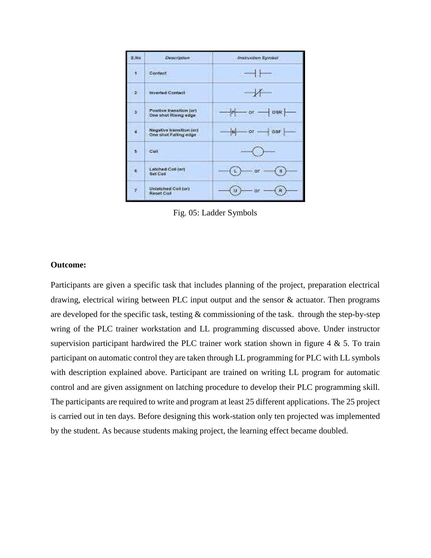

Fig. 05: Ladder Symbols

### **Outcome:**

Participants are given a specific task that includes planning of the project, preparation electrical drawing, electrical wiring between PLC input output and the sensor & actuator. Then programs are developed for the specific task, testing & commissioning of the task. through the step-by-step wring of the PLC trainer workstation and LL programming discussed above. Under instructor supervision participant hardwired the PLC trainer work station shown in figure  $4 \& 5$ . To train participant on automatic control they are taken through LL programming for PLC with LL symbols with description explained above. Participant are trained on writing LL program for automatic control and are given assignment on latching procedure to develop their PLC programming skill. The participants are required to write and program at least 25 different applications. The 25 project is carried out in ten days. Before designing this work-station only ten projected was implemented by the student. As because students making project, the learning effect became doubled.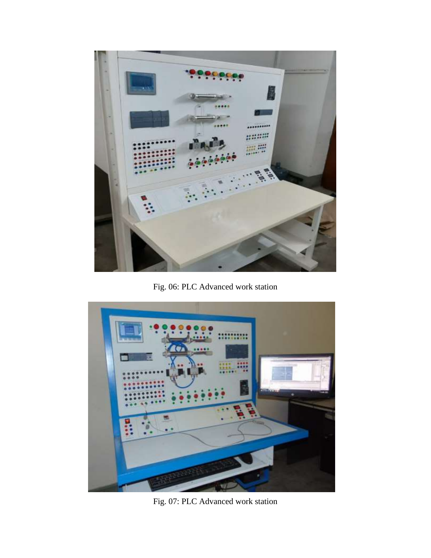

Fig. 06: PLC Advanced work station



Fig. 07: PLC Advanced work station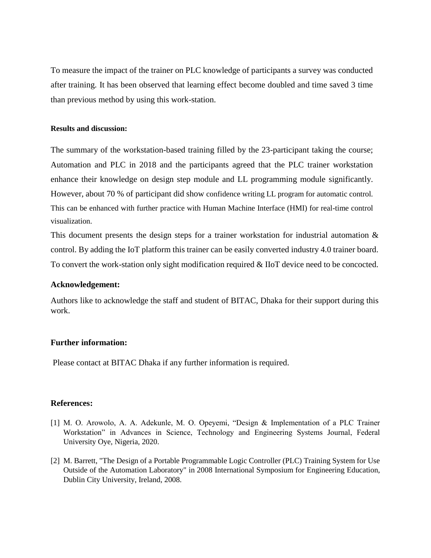To measure the impact of the trainer on PLC knowledge of participants a survey was conducted after training. It has been observed that learning effect become doubled and time saved 3 time than previous method by using this work-station.

### **Results and discussion:**

The summary of the workstation-based training filled by the 23-participant taking the course; Automation and PLC in 2018 and the participants agreed that the PLC trainer workstation enhance their knowledge on design step module and LL programming module significantly. However, about 70 % of participant did show confidence writing LL program for automatic control. This can be enhanced with further practice with Human Machine Interface (HMI) for real-time control visualization.

This document presents the design steps for a trainer workstation for industrial automation  $\&$ control. By adding the IoT platform this trainer can be easily converted industry 4.0 trainer board. To convert the work-station only sight modification required & IIoT device need to be concocted.

## **Acknowledgement:**

Authors like to acknowledge the staff and student of BITAC, Dhaka for their support during this work.

## **Further information:**

Please contact at BITAC Dhaka if any further information is required.

### **References:**

- [1] M. O. Arowolo, A. A. Adekunle, M. O. Opeyemi, "Design & Implementation of a PLC Trainer Workstation" in Advances in Science, Technology and Engineering Systems Journal, Federal University Oye, Nigeria, 2020.
- [2] M. Barrett, "The Design of a Portable Programmable Logic Controller (PLC) Training System for Use Outside of the Automation Laboratory" in 2008 International Symposium for Engineering Education, Dublin City University, Ireland, 2008.